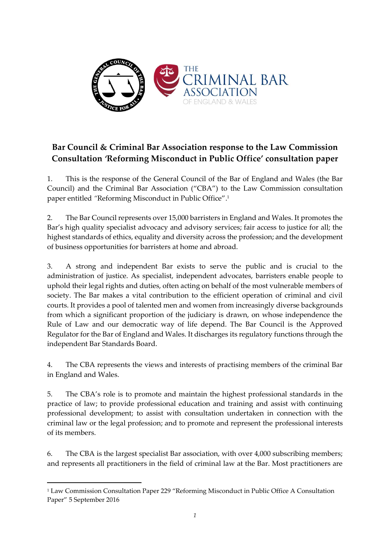

# **Bar Council & Criminal Bar Association response to the Law Commission Consultation** *'***Reforming Misconduct in Public Office' consultation paper**

1. This is the response of the General Council of the Bar of England and Wales (the Bar Council) and the Criminal Bar Association ("CBA") to the Law Commission consultation paper entitled *"*Reforming Misconduct in Public Office". 1

2. The Bar Council represents over 15,000 barristers in England and Wales. It promotes the Bar's high quality specialist advocacy and advisory services; fair access to justice for all; the highest standards of ethics, equality and diversity across the profession; and the development of business opportunities for barristers at home and abroad.

3. A strong and independent Bar exists to serve the public and is crucial to the administration of justice. As specialist, independent advocates, barristers enable people to uphold their legal rights and duties, often acting on behalf of the most vulnerable members of society. The Bar makes a vital contribution to the efficient operation of criminal and civil courts. It provides a pool of talented men and women from increasingly diverse backgrounds from which a significant proportion of the judiciary is drawn, on whose independence the Rule of Law and our democratic way of life depend. The Bar Council is the Approved Regulator for the Bar of England and Wales. It discharges its regulatory functions through the independent Bar Standards Board.

4. The CBA represents the views and interests of practising members of the criminal Bar in England and Wales.

5. The CBA's role is to promote and maintain the highest professional standards in the practice of law; to provide professional education and training and assist with continuing professional development; to assist with consultation undertaken in connection with the criminal law or the legal profession; and to promote and represent the professional interests of its members.

6. The CBA is the largest specialist Bar association, with over 4,000 subscribing members; and represents all practitioners in the field of criminal law at the Bar. Most practitioners are

1

<sup>1</sup> Law Commission Consultation Paper 229 "Reforming Misconduct in Public Office A Consultation Paper" 5 September 2016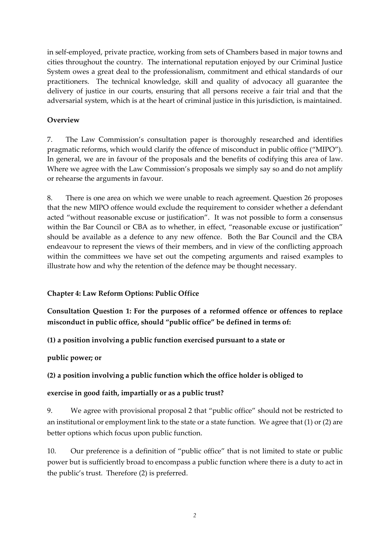in self-employed, private practice, working from sets of Chambers based in major towns and cities throughout the country. The international reputation enjoyed by our Criminal Justice System owes a great deal to the professionalism, commitment and ethical standards of our practitioners. The technical knowledge, skill and quality of advocacy all guarantee the delivery of justice in our courts, ensuring that all persons receive a fair trial and that the adversarial system, which is at the heart of criminal justice in this jurisdiction, is maintained.

### **Overview**

7. The Law Commission's consultation paper is thoroughly researched and identifies pragmatic reforms, which would clarify the offence of misconduct in public office ("MIPO"). In general, we are in favour of the proposals and the benefits of codifying this area of law. Where we agree with the Law Commission's proposals we simply say so and do not amplify or rehearse the arguments in favour.

8. There is one area on which we were unable to reach agreement. Question 26 proposes that the new MIPO offence would exclude the requirement to consider whether a defendant acted "without reasonable excuse or justification". It was not possible to form a consensus within the Bar Council or CBA as to whether, in effect, "reasonable excuse or justification" should be available as a defence to any new offence. Both the Bar Council and the CBA endeavour to represent the views of their members, and in view of the conflicting approach within the committees we have set out the competing arguments and raised examples to illustrate how and why the retention of the defence may be thought necessary.

#### **Chapter 4: Law Reform Options: Public Office**

**Consultation Question 1: For the purposes of a reformed offence or offences to replace misconduct in public office, should "public office" be defined in terms of:**

**(1) a position involving a public function exercised pursuant to a state or**

#### **public power; or**

**(2) a position involving a public function which the office holder is obliged to**

### **exercise in good faith, impartially or as a public trust?**

9. We agree with provisional proposal 2 that "public office" should not be restricted to an institutional or employment link to the state or a state function. We agree that (1) or (2) are better options which focus upon public function.

10. Our preference is a definition of "public office" that is not limited to state or public power but is sufficiently broad to encompass a public function where there is a duty to act in the public's trust. Therefore (2) is preferred.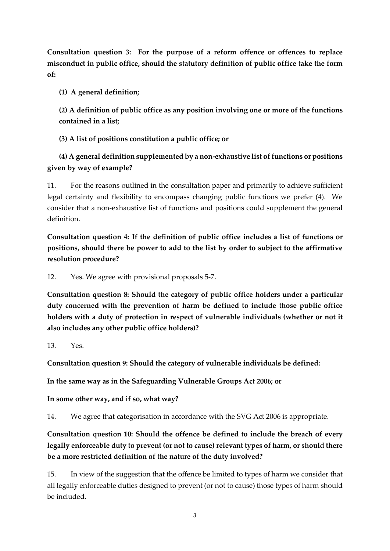**Consultation question 3: For the purpose of a reform offence or offences to replace misconduct in public office, should the statutory definition of public office take the form of:** 

**(1) A general definition;**

**(2) A definition of public office as any position involving one or more of the functions contained in a list;**

**(3) A list of positions constitution a public office; or**

**(4) A general definition supplemented by a non-exhaustive list of functions or positions given by way of example?** 

11. For the reasons outlined in the consultation paper and primarily to achieve sufficient legal certainty and flexibility to encompass changing public functions we prefer (4). We consider that a non-exhaustive list of functions and positions could supplement the general definition.

**Consultation question 4: If the definition of public office includes a list of functions or positions, should there be power to add to the list by order to subject to the affirmative resolution procedure?** 

12. Yes. We agree with provisional proposals 5-7.

**Consultation question 8: Should the category of public office holders under a particular duty concerned with the prevention of harm be defined to include those public office holders with a duty of protection in respect of vulnerable individuals (whether or not it also includes any other public office holders)?** 

13. Yes.

**Consultation question 9: Should the category of vulnerable individuals be defined:** 

**In the same way as in the Safeguarding Vulnerable Groups Act 2006; or**

**In some other way, and if so, what way?** 

14. We agree that categorisation in accordance with the SVG Act 2006 is appropriate.

**Consultation question 10: Should the offence be defined to include the breach of every legally enforceable duty to prevent (or not to cause) relevant types of harm, or should there be a more restricted definition of the nature of the duty involved?** 

15. In view of the suggestion that the offence be limited to types of harm we consider that all legally enforceable duties designed to prevent (or not to cause) those types of harm should be included.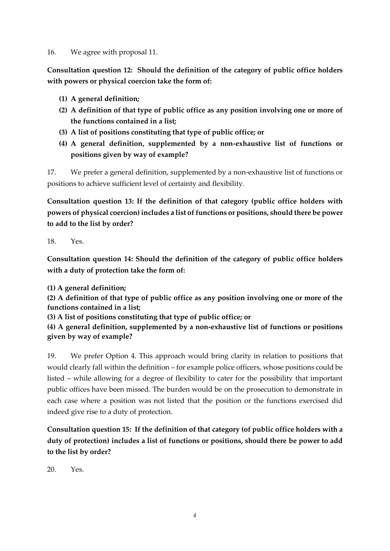#### 16. We agree with proposal 11.

**Consultation question 12: Should the definition of the category of public office holders with powers or physical coercion take the form of:** 

- **(1) A general definition;**
- **(2) A definition of that type of public office as any position involving one or more of the functions contained in a list;**
- **(3) A list of positions constituting that type of public office; or**
- **(4) A general definition, supplemented by a non-exhaustive list of functions or positions given by way of example?**

17. We prefer a general definition, supplemented by a non-exhaustive list of functions or positions to achieve sufficient level of certainty and flexibility.

**Consultation question 13: If the definition of that category (public office holders with powers of physical coercion) includes a list of functions or positions, should there be power to add to the list by order?**

18. Yes.

**Consultation question 14: Should the definition of the category of public office holders with a duty of protection take the form of:**

**(1) A general definition;**

**(2) A definition of that type of public office as any position involving one or more of the functions contained in a list;**

**(3) A list of positions constituting that type of public office; or**

**(4) A general definition, supplemented by a non-exhaustive list of functions or positions given by way of example?**

19. We prefer Option 4. This approach would bring clarity in relation to positions that would clearly fall within the definition – for example police officers, whose positions could be listed – while allowing for a degree of flexibility to cater for the possibility that important public offices have been missed. The burden would be on the prosecution to demonstrate in each case where a position was not listed that the position or the functions exercised did indeed give rise to a duty of protection.

**Consultation question 15: If the definition of that category (of public office holders with a duty of protection) includes a list of functions or positions, should there be power to add to the list by order?**

20. Yes.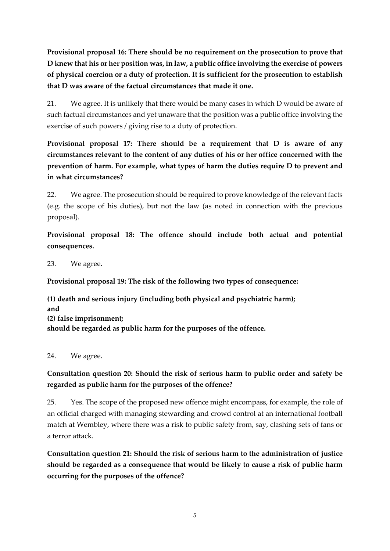**Provisional proposal 16: There should be no requirement on the prosecution to prove that D knew that his or her position was, in law, a public office involving the exercise of powers of physical coercion or a duty of protection. It is sufficient for the prosecution to establish that D was aware of the factual circumstances that made it one.**

21. We agree. It is unlikely that there would be many cases in which D would be aware of such factual circumstances and yet unaware that the position was a public office involving the exercise of such powers / giving rise to a duty of protection.

**Provisional proposal 17: There should be a requirement that D is aware of any circumstances relevant to the content of any duties of his or her office concerned with the prevention of harm. For example, what types of harm the duties require D to prevent and in what circumstances?**

22. We agree. The prosecution should be required to prove knowledge of the relevant facts (e.g. the scope of his duties), but not the law (as noted in connection with the previous proposal).

**Provisional proposal 18: The offence should include both actual and potential consequences.**

23. We agree.

**Provisional proposal 19: The risk of the following two types of consequence:**

**(1) death and serious injury (including both physical and psychiatric harm); and (2) false imprisonment; should be regarded as public harm for the purposes of the offence.**

24. We agree.

### **Consultation question 20: Should the risk of serious harm to public order and safety be regarded as public harm for the purposes of the offence?**

25. Yes. The scope of the proposed new offence might encompass, for example, the role of an official charged with managing stewarding and crowd control at an international football match at Wembley, where there was a risk to public safety from, say, clashing sets of fans or a terror attack.

**Consultation question 21: Should the risk of serious harm to the administration of justice should be regarded as a consequence that would be likely to cause a risk of public harm occurring for the purposes of the offence?**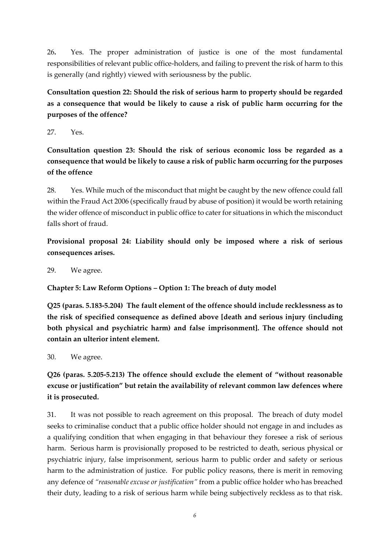26**.** Yes. The proper administration of justice is one of the most fundamental responsibilities of relevant public office-holders, and failing to prevent the risk of harm to this is generally (and rightly) viewed with seriousness by the public.

**Consultation question 22: Should the risk of serious harm to property should be regarded as a consequence that would be likely to cause a risk of public harm occurring for the purposes of the offence?**

27. Yes.

**Consultation question 23: Should the risk of serious economic loss be regarded as a consequence that would be likely to cause a risk of public harm occurring for the purposes of the offence**

28. Yes. While much of the misconduct that might be caught by the new offence could fall within the Fraud Act 2006 (specifically fraud by abuse of position) it would be worth retaining the wider offence of misconduct in public office to cater for situations in which the misconduct falls short of fraud.

**Provisional proposal 24: Liability should only be imposed where a risk of serious consequences arises.**

29. We agree.

### **Chapter 5: Law Reform Options – Option 1: The breach of duty model**

**Q25 (paras. 5.183-5.204) The fault element of the offence should include recklessness as to the risk of specified consequence as defined above [death and serious injury (including both physical and psychiatric harm) and false imprisonment]. The offence should not contain an ulterior intent element.** 

30. We agree.

## **Q26 (paras. 5.205-5.213) The offence should exclude the element of "without reasonable excuse or justification" but retain the availability of relevant common law defences where it is prosecuted.**

31. It was not possible to reach agreement on this proposal. The breach of duty model seeks to criminalise conduct that a public office holder should not engage in and includes as a qualifying condition that when engaging in that behaviour they foresee a risk of serious harm. Serious harm is provisionally proposed to be restricted to death, serious physical or psychiatric injury, false imprisonment, serious harm to public order and safety or serious harm to the administration of justice. For public policy reasons, there is merit in removing any defence of *"reasonable excuse or justification"* from a public office holder who has breached their duty, leading to a risk of serious harm while being subjectively reckless as to that risk.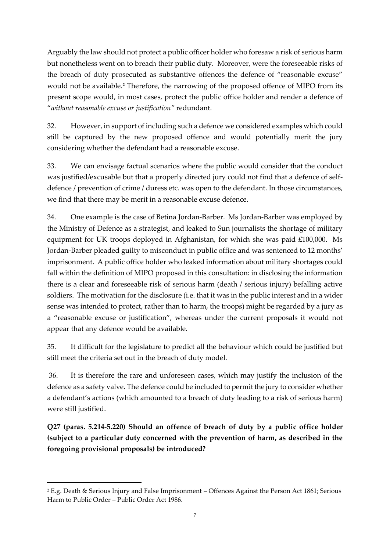Arguably the law should not protect a public officer holder who foresaw a risk of serious harm but nonetheless went on to breach their public duty. Moreover, were the foreseeable risks of the breach of duty prosecuted as substantive offences the defence of "reasonable excuse" would not be available.**<sup>2</sup>** Therefore, the narrowing of the proposed offence of MIPO from its present scope would, in most cases, protect the public office holder and render a defence of "*without reasonable excuse or justification"* redundant.

32. However, in support of including such a defence we considered examples which could still be captured by the new proposed offence and would potentially merit the jury considering whether the defendant had a reasonable excuse.

33. We can envisage factual scenarios where the public would consider that the conduct was justified/excusable but that a properly directed jury could not find that a defence of selfdefence / prevention of crime / duress etc. was open to the defendant. In those circumstances, we find that there may be merit in a reasonable excuse defence.

34. One example is the case of Betina Jordan-Barber. Ms Jordan-Barber was employed by the Ministry of Defence as a strategist, and leaked to Sun journalists the shortage of military equipment for UK troops deployed in Afghanistan, for which she was paid £100,000. Ms Jordan-Barber pleaded guilty to misconduct in public office and was sentenced to 12 months' imprisonment. A public office holder who leaked information about military shortages could fall within the definition of MIPO proposed in this consultation: in disclosing the information there is a clear and foreseeable risk of serious harm (death / serious injury) befalling active soldiers. The motivation for the disclosure (i.e. that it was in the public interest and in a wider sense was intended to protect, rather than to harm, the troops) might be regarded by a jury as a "reasonable excuse or justification", whereas under the current proposals it would not appear that any defence would be available.

35. It difficult for the legislature to predict all the behaviour which could be justified but still meet the criteria set out in the breach of duty model.

36. It is therefore the rare and unforeseen cases, which may justify the inclusion of the defence as a safety valve. The defence could be included to permit the jury to consider whether a defendant's actions (which amounted to a breach of duty leading to a risk of serious harm) were still justified.

**Q27 (paras. 5.214-5.220) Should an offence of breach of duty by a public office holder (subject to a particular duty concerned with the prevention of harm, as described in the foregoing provisional proposals) be introduced?** 

1

<sup>2</sup> E.g. Death & Serious Injury and False Imprisonment – Offences Against the Person Act 1861; Serious Harm to Public Order – Public Order Act 1986.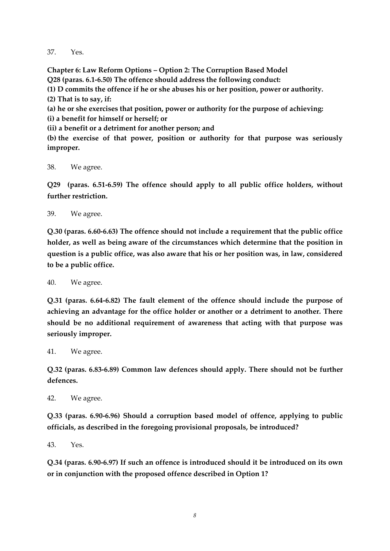37. Yes.

**Chapter 6: Law Reform Options – Option 2: The Corruption Based Model Q28 (paras. 6.1-6.50) The offence should address the following conduct: (1) D commits the offence if he or she abuses his or her position, power or authority. (2) That is to say, if: (a) he or she exercises that position, power or authority for the purpose of achieving: (i) a benefit for himself or herself; or (ii) a benefit or a detriment for another person; and (b) the exercise of that power, position or authority for that purpose was seriously improper.** 

38. We agree.

**Q29 (paras. 6.51-6.59) The offence should apply to all public office holders, without further restriction.**

39. We agree.

**Q.30 (paras. 6.60-6.63) The offence should not include a requirement that the public office holder, as well as being aware of the circumstances which determine that the position in question is a public office, was also aware that his or her position was, in law, considered to be a public office.**

40. We agree.

**Q.31 (paras. 6.64-6.82) The fault element of the offence should include the purpose of achieving an advantage for the office holder or another or a detriment to another. There should be no additional requirement of awareness that acting with that purpose was seriously improper.** 

41. We agree.

**Q.32 (paras. 6.83-6.89) Common law defences should apply. There should not be further defences.**

42. We agree.

**Q.33 (paras. 6.90-6.96) Should a corruption based model of offence, applying to public officials, as described in the foregoing provisional proposals, be introduced?**

43. Yes.

**Q.34 (paras. 6.90-6.97) If such an offence is introduced should it be introduced on its own or in conjunction with the proposed offence described in Option 1?**